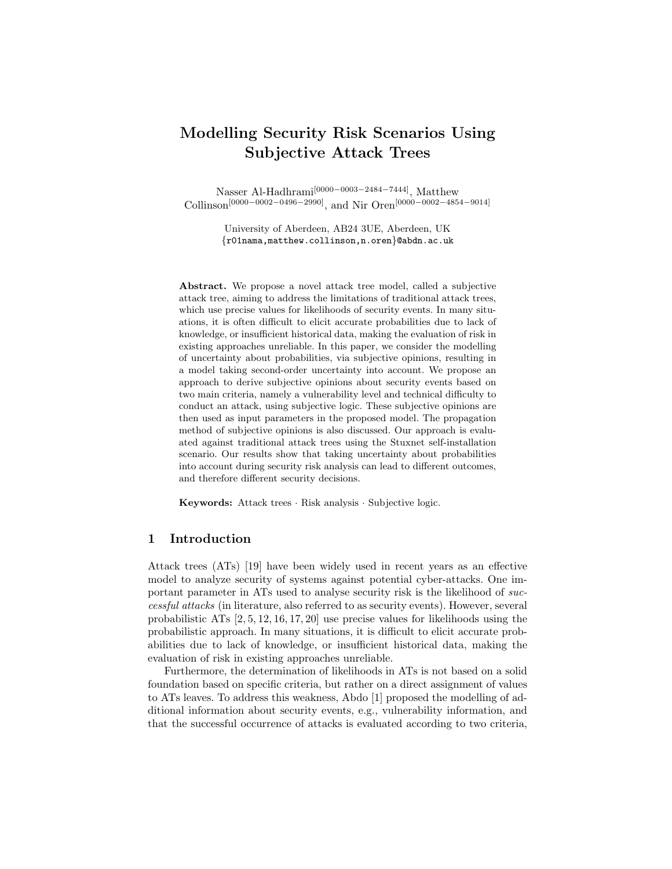# Modelling Security Risk Scenarios Using Subjective Attack Trees

Nasser Al-Hadhrami<sup>[0000–0003–2484–7444]</sup>, Matthew  $\text{Collinson}^{[0000-0002-0496-2990]},$  and Nir Oren<sup>[0000–0002–4854–9014]</sup>

> University of Aberdeen, AB24 3UE, Aberdeen, UK {r01nama,matthew.collinson,n.oren}@abdn.ac.uk

Abstract. We propose a novel attack tree model, called a subjective attack tree, aiming to address the limitations of traditional attack trees, which use precise values for likelihoods of security events. In many situations, it is often difficult to elicit accurate probabilities due to lack of knowledge, or insufficient historical data, making the evaluation of risk in existing approaches unreliable. In this paper, we consider the modelling of uncertainty about probabilities, via subjective opinions, resulting in a model taking second-order uncertainty into account. We propose an approach to derive subjective opinions about security events based on two main criteria, namely a vulnerability level and technical difficulty to conduct an attack, using subjective logic. These subjective opinions are then used as input parameters in the proposed model. The propagation method of subjective opinions is also discussed. Our approach is evaluated against traditional attack trees using the Stuxnet self-installation scenario. Our results show that taking uncertainty about probabilities into account during security risk analysis can lead to different outcomes, and therefore different security decisions.

Keywords: Attack trees · Risk analysis · Subjective logic.

## 1 Introduction

Attack trees (ATs) [19] have been widely used in recent years as an effective model to analyze security of systems against potential cyber-attacks. One important parameter in ATs used to analyse security risk is the likelihood of successful attacks (in literature, also referred to as security events). However, several probabilistic ATs [2, 5, 12, 16, 17, 20] use precise values for likelihoods using the probabilistic approach. In many situations, it is difficult to elicit accurate probabilities due to lack of knowledge, or insufficient historical data, making the evaluation of risk in existing approaches unreliable.

Furthermore, the determination of likelihoods in ATs is not based on a solid foundation based on specific criteria, but rather on a direct assignment of values to ATs leaves. To address this weakness, Abdo [1] proposed the modelling of additional information about security events, e.g., vulnerability information, and that the successful occurrence of attacks is evaluated according to two criteria,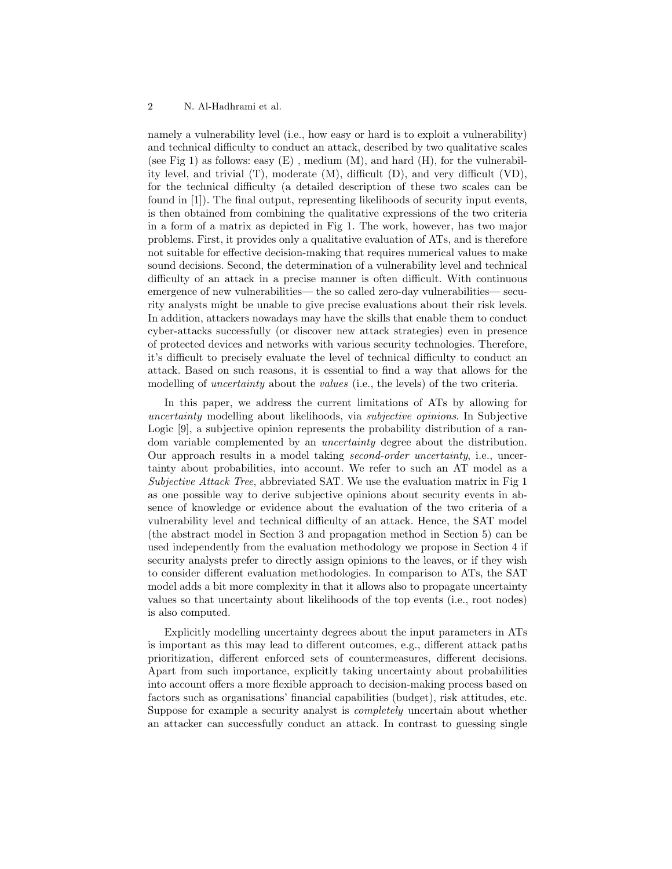namely a vulnerability level (i.e., how easy or hard is to exploit a vulnerability) and technical difficulty to conduct an attack, described by two qualitative scales (see Fig 1) as follows: easy  $(E)$ , medium  $(M)$ , and hard  $(H)$ , for the vulnerability level, and trivial (T), moderate (M), difficult (D), and very difficult (VD), for the technical difficulty (a detailed description of these two scales can be found in [1]). The final output, representing likelihoods of security input events, is then obtained from combining the qualitative expressions of the two criteria in a form of a matrix as depicted in Fig 1. The work, however, has two major problems. First, it provides only a qualitative evaluation of ATs, and is therefore not suitable for effective decision-making that requires numerical values to make sound decisions. Second, the determination of a vulnerability level and technical difficulty of an attack in a precise manner is often difficult. With continuous emergence of new vulnerabilities— the so called zero-day vulnerabilities— security analysts might be unable to give precise evaluations about their risk levels. In addition, attackers nowadays may have the skills that enable them to conduct cyber-attacks successfully (or discover new attack strategies) even in presence of protected devices and networks with various security technologies. Therefore, it's difficult to precisely evaluate the level of technical difficulty to conduct an attack. Based on such reasons, it is essential to find a way that allows for the modelling of *uncertainty* about the *values* (i.e., the levels) of the two criteria.

In this paper, we address the current limitations of ATs by allowing for uncertainty modelling about likelihoods, via subjective opinions. In Subjective Logic [9], a subjective opinion represents the probability distribution of a random variable complemented by an uncertainty degree about the distribution. Our approach results in a model taking second-order uncertainty, i.e., uncertainty about probabilities, into account. We refer to such an AT model as a Subjective Attack Tree, abbreviated SAT. We use the evaluation matrix in Fig 1 as one possible way to derive subjective opinions about security events in absence of knowledge or evidence about the evaluation of the two criteria of a vulnerability level and technical difficulty of an attack. Hence, the SAT model (the abstract model in Section 3 and propagation method in Section 5) can be used independently from the evaluation methodology we propose in Section 4 if security analysts prefer to directly assign opinions to the leaves, or if they wish to consider different evaluation methodologies. In comparison to ATs, the SAT model adds a bit more complexity in that it allows also to propagate uncertainty values so that uncertainty about likelihoods of the top events (i.e., root nodes) is also computed.

Explicitly modelling uncertainty degrees about the input parameters in ATs is important as this may lead to different outcomes, e.g., different attack paths prioritization, different enforced sets of countermeasures, different decisions. Apart from such importance, explicitly taking uncertainty about probabilities into account offers a more flexible approach to decision-making process based on factors such as organisations' financial capabilities (budget), risk attitudes, etc. Suppose for example a security analyst is completely uncertain about whether an attacker can successfully conduct an attack. In contrast to guessing single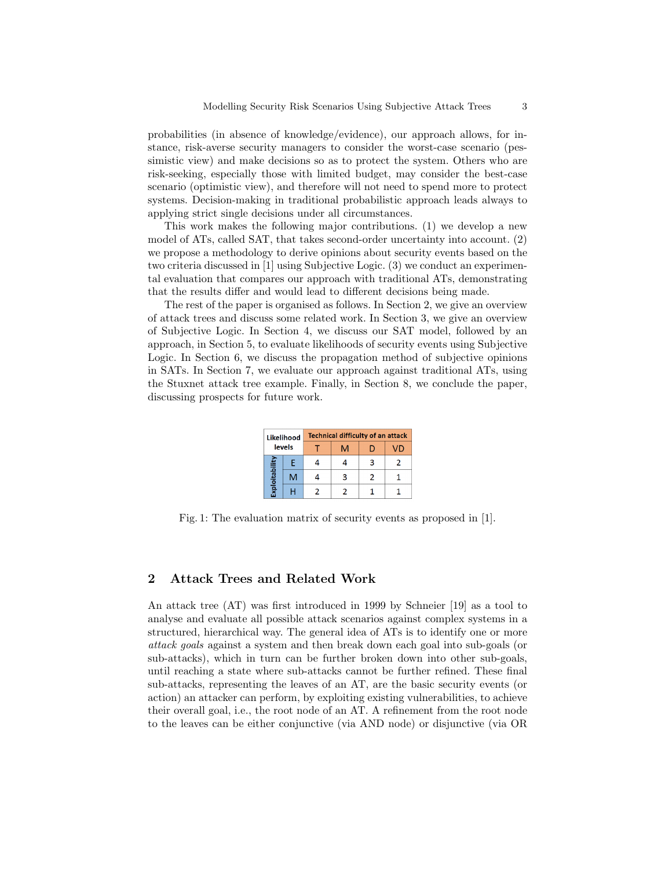probabilities (in absence of knowledge/evidence), our approach allows, for instance, risk-averse security managers to consider the worst-case scenario (pessimistic view) and make decisions so as to protect the system. Others who are risk-seeking, especially those with limited budget, may consider the best-case scenario (optimistic view), and therefore will not need to spend more to protect systems. Decision-making in traditional probabilistic approach leads always to applying strict single decisions under all circumstances.

This work makes the following major contributions. (1) we develop a new model of ATs, called SAT, that takes second-order uncertainty into account. (2) we propose a methodology to derive opinions about security events based on the two criteria discussed in [1] using Subjective Logic. (3) we conduct an experimental evaluation that compares our approach with traditional ATs, demonstrating that the results differ and would lead to different decisions being made.

The rest of the paper is organised as follows. In Section 2, we give an overview of attack trees and discuss some related work. In Section 3, we give an overview of Subjective Logic. In Section 4, we discuss our SAT model, followed by an approach, in Section 5, to evaluate likelihoods of security events using Subjective Logic. In Section 6, we discuss the propagation method of subjective opinions in SATs. In Section 7, we evaluate our approach against traditional ATs, using the Stuxnet attack tree example. Finally, in Section 8, we conclude the paper, discussing prospects for future work.

| Likelihood<br>levels |   | <b>Technical difficulty of an attack</b> |   |   |    |  |  |  |  |
|----------------------|---|------------------------------------------|---|---|----|--|--|--|--|
|                      |   |                                          | М |   | VΠ |  |  |  |  |
|                      | F |                                          |   | 3 |    |  |  |  |  |
| Exploitability       | M |                                          | ર | 2 |    |  |  |  |  |
|                      |   |                                          |   |   |    |  |  |  |  |

Fig. 1: The evaluation matrix of security events as proposed in [1].

# 2 Attack Trees and Related Work

An attack tree (AT) was first introduced in 1999 by Schneier [19] as a tool to analyse and evaluate all possible attack scenarios against complex systems in a structured, hierarchical way. The general idea of ATs is to identify one or more attack goals against a system and then break down each goal into sub-goals (or sub-attacks), which in turn can be further broken down into other sub-goals, until reaching a state where sub-attacks cannot be further refined. These final sub-attacks, representing the leaves of an AT, are the basic security events (or action) an attacker can perform, by exploiting existing vulnerabilities, to achieve their overall goal, i.e., the root node of an AT. A refinement from the root node to the leaves can be either conjunctive (via AND node) or disjunctive (via OR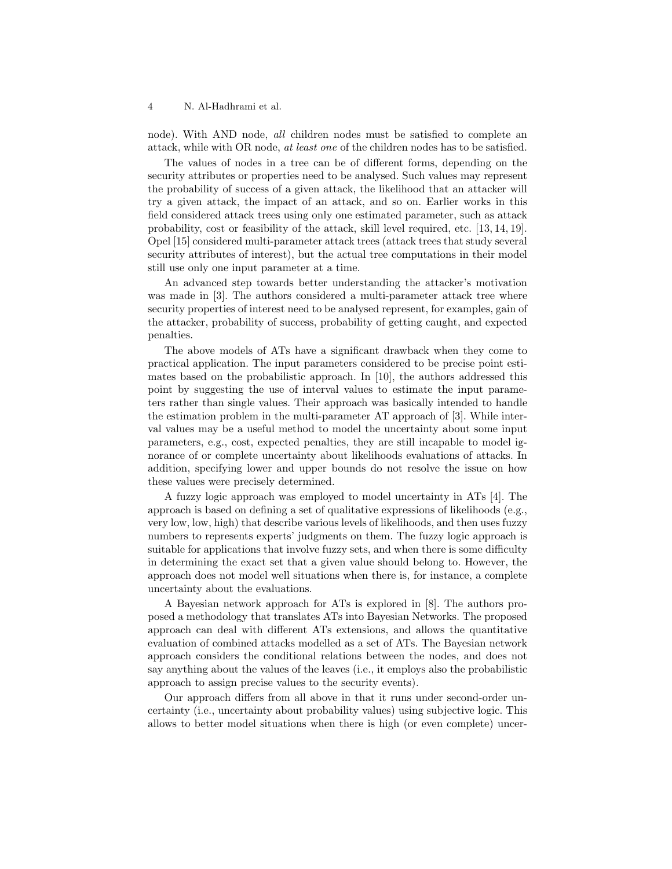node). With AND node, all children nodes must be satisfied to complete an attack, while with OR node, at least one of the children nodes has to be satisfied.

The values of nodes in a tree can be of different forms, depending on the security attributes or properties need to be analysed. Such values may represent the probability of success of a given attack, the likelihood that an attacker will try a given attack, the impact of an attack, and so on. Earlier works in this field considered attack trees using only one estimated parameter, such as attack probability, cost or feasibility of the attack, skill level required, etc. [13, 14, 19]. Opel [15] considered multi-parameter attack trees (attack trees that study several security attributes of interest), but the actual tree computations in their model still use only one input parameter at a time.

An advanced step towards better understanding the attacker's motivation was made in [3]. The authors considered a multi-parameter attack tree where security properties of interest need to be analysed represent, for examples, gain of the attacker, probability of success, probability of getting caught, and expected penalties.

The above models of ATs have a significant drawback when they come to practical application. The input parameters considered to be precise point estimates based on the probabilistic approach. In [10], the authors addressed this point by suggesting the use of interval values to estimate the input parameters rather than single values. Their approach was basically intended to handle the estimation problem in the multi-parameter AT approach of [3]. While interval values may be a useful method to model the uncertainty about some input parameters, e.g., cost, expected penalties, they are still incapable to model ignorance of or complete uncertainty about likelihoods evaluations of attacks. In addition, specifying lower and upper bounds do not resolve the issue on how these values were precisely determined.

A fuzzy logic approach was employed to model uncertainty in ATs [4]. The approach is based on defining a set of qualitative expressions of likelihoods (e.g., very low, low, high) that describe various levels of likelihoods, and then uses fuzzy numbers to represents experts' judgments on them. The fuzzy logic approach is suitable for applications that involve fuzzy sets, and when there is some difficulty in determining the exact set that a given value should belong to. However, the approach does not model well situations when there is, for instance, a complete uncertainty about the evaluations.

A Bayesian network approach for ATs is explored in [8]. The authors proposed a methodology that translates ATs into Bayesian Networks. The proposed approach can deal with different ATs extensions, and allows the quantitative evaluation of combined attacks modelled as a set of ATs. The Bayesian network approach considers the conditional relations between the nodes, and does not say anything about the values of the leaves (i.e., it employs also the probabilistic approach to assign precise values to the security events).

Our approach differs from all above in that it runs under second-order uncertainty (i.e., uncertainty about probability values) using subjective logic. This allows to better model situations when there is high (or even complete) uncer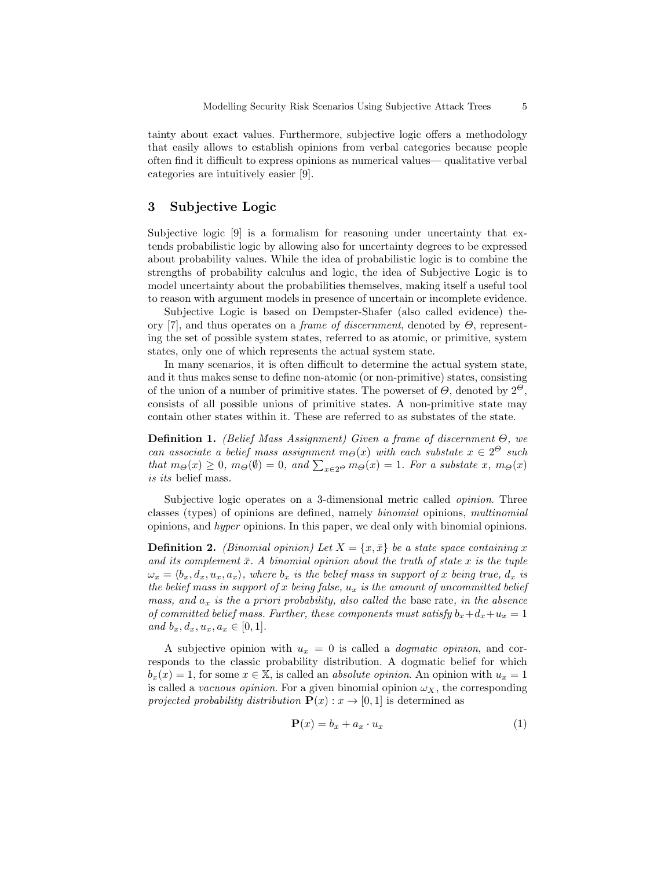tainty about exact values. Furthermore, subjective logic offers a methodology that easily allows to establish opinions from verbal categories because people often find it difficult to express opinions as numerical values— qualitative verbal categories are intuitively easier [9].

# 3 Subjective Logic

Subjective logic [9] is a formalism for reasoning under uncertainty that extends probabilistic logic by allowing also for uncertainty degrees to be expressed about probability values. While the idea of probabilistic logic is to combine the strengths of probability calculus and logic, the idea of Subjective Logic is to model uncertainty about the probabilities themselves, making itself a useful tool to reason with argument models in presence of uncertain or incomplete evidence.

Subjective Logic is based on Dempster-Shafer (also called evidence) theory [7], and thus operates on a *frame of discernment*, denoted by  $\Theta$ , representing the set of possible system states, referred to as atomic, or primitive, system states, only one of which represents the actual system state.

In many scenarios, it is often difficult to determine the actual system state, and it thus makes sense to define non-atomic (or non-primitive) states, consisting of the union of a number of primitive states. The powerset of  $\Theta$ , denoted by  $2^{\Theta}$ , consists of all possible unions of primitive states. A non-primitive state may contain other states within it. These are referred to as substates of the state.

Definition 1. (Belief Mass Assignment) Given a frame of discernment Θ, we can associate a belief mass assignment  $m_{\Theta}(x)$  with each substate  $x \in 2^{\Theta}$  such that  $m_{\Theta}(x) \geq 0$ ,  $m_{\Theta}(\emptyset) = 0$ , and  $\sum_{x \in 2^{\Theta}} m_{\Theta}(x) = 1$ . For a substate x,  $m_{\Theta}(x)$ is its belief mass.

Subjective logic operates on a 3-dimensional metric called opinion. Three classes (types) of opinions are defined, namely binomial opinions, multinomial opinions, and hyper opinions. In this paper, we deal only with binomial opinions.

**Definition 2.** (Binomial opinion) Let  $X = \{x, \bar{x}\}\$ be a state space containing x and its complement  $\bar{x}$ . A binomial opinion about the truth of state x is the tuple  $\omega_x = \langle b_x, d_x, u_x, a_x \rangle$ , where  $b_x$  is the belief mass in support of x being true,  $d_x$  is the belief mass in support of x being false,  $u_x$  is the amount of uncommitted belief mass, and  $a_x$  is the a priori probability, also called the base rate, in the absence of committed belief mass. Further, these components must satisfy  $b_x+d_x+u_x = 1$ and  $b_x, d_x, u_x, a_x \in [0, 1].$ 

A subjective opinion with  $u_x = 0$  is called a *dogmatic opinion*, and corresponds to the classic probability distribution. A dogmatic belief for which  $b_x(x) = 1$ , for some  $x \in \mathbb{X}$ , is called an *absolute opinion*. An opinion with  $u_x = 1$ is called a *vacuous opinion*. For a given binomial opinion  $\omega_X$ , the corresponding projected probability distribution  $P(x) : x \to [0,1]$  is determined as

$$
\mathbf{P}(x) = b_x + a_x \cdot u_x \tag{1}
$$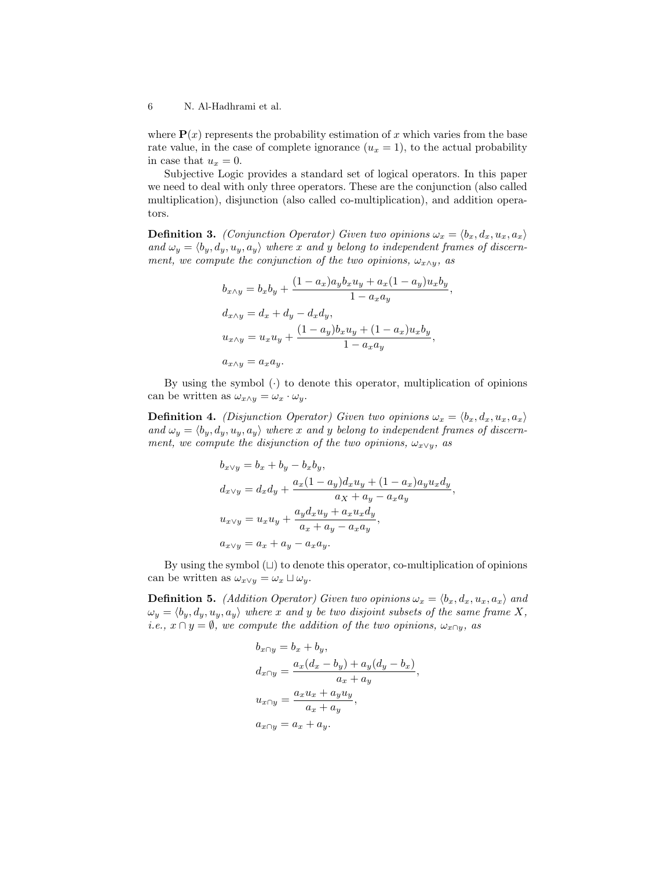where  $P(x)$  represents the probability estimation of x which varies from the base rate value, in the case of complete ignorance  $(u_x = 1)$ , to the actual probability in case that  $u_x = 0$ .

Subjective Logic provides a standard set of logical operators. In this paper we need to deal with only three operators. These are the conjunction (also called multiplication), disjunction (also called co-multiplication), and addition operators.

**Definition 3.** (Conjunction Operator) Given two opinions  $\omega_x = \langle b_x, d_x, u_x, a_x \rangle$ and  $\omega_y = \langle b_y, d_y, u_y, a_y \rangle$  where x and y belong to independent frames of discernment, we compute the conjunction of the two opinions,  $\omega_{x\wedge y}$ , as

,

$$
b_{x \wedge y} = b_x b_y + \frac{(1 - a_x) a_y b_x u_y + a_x (1 - a_y) u_x b_y}{1 - a_x a_y}
$$
  
\n
$$
d_{x \wedge y} = d_x + d_y - d_x d_y,
$$
  
\n
$$
u_{x \wedge y} = u_x u_y + \frac{(1 - a_y) b_x u_y + (1 - a_x) u_x b_y}{1 - a_x a_y},
$$
  
\n
$$
a_{x \wedge y} = a_x a_y.
$$

By using the symbol  $(\cdot)$  to denote this operator, multiplication of opinions can be written as  $\omega_{x \wedge y} = \omega_x \cdot \omega_y$ .

**Definition 4.** (Disjunction Operator) Given two opinions  $\omega_x = \langle b_x, d_x, u_x, a_x \rangle$ and  $\omega_y = \langle b_y, d_y, u_y, a_y \rangle$  where x and y belong to independent frames of discernment, we compute the disjunction of the two opinions,  $\omega_{x\vee y}$ , as

$$
b_{x\vee y} = b_x + b_y - b_x b_y,
$$
  
\n
$$
d_{x\vee y} = d_x d_y + \frac{a_x (1 - a_y) d_x u_y + (1 - a_x) a_y u_x d_y}{a_x + a_y - a_x a_y},
$$
  
\n
$$
u_{x\vee y} = u_x u_y + \frac{a_y d_x u_y + a_x u_x d_y}{a_x + a_y - a_x a_y},
$$
  
\n
$$
a_{x\vee y} = a_x + a_y - a_x a_y.
$$

By using the symbol  $(\sqcup)$  to denote this operator, co-multiplication of opinions can be written as  $\omega_{x\vee y} = \omega_x \sqcup \omega_y$ .

**Definition 5.** (Addition Operator) Given two opinions  $\omega_x = \langle b_x, d_x, u_x, a_x \rangle$  and  $\omega_y = \langle b_y, d_y, u_y, a_y \rangle$  where x and y be two disjoint subsets of the same frame X, i.e.,  $x \cap y = \emptyset$ , we compute the addition of the two opinions,  $\omega_{x \cap y}$ , as

$$
b_{x \cap y} = b_x + b_y,
$$
  
\n
$$
d_{x \cap y} = \frac{a_x (d_x - b_y) + a_y (d_y - b_x)}{a_x + a_y},
$$
  
\n
$$
u_{x \cap y} = \frac{a_x u_x + a_y u_y}{a_x + a_y},
$$
  
\n
$$
a_{x \cap y} = a_x + a_y.
$$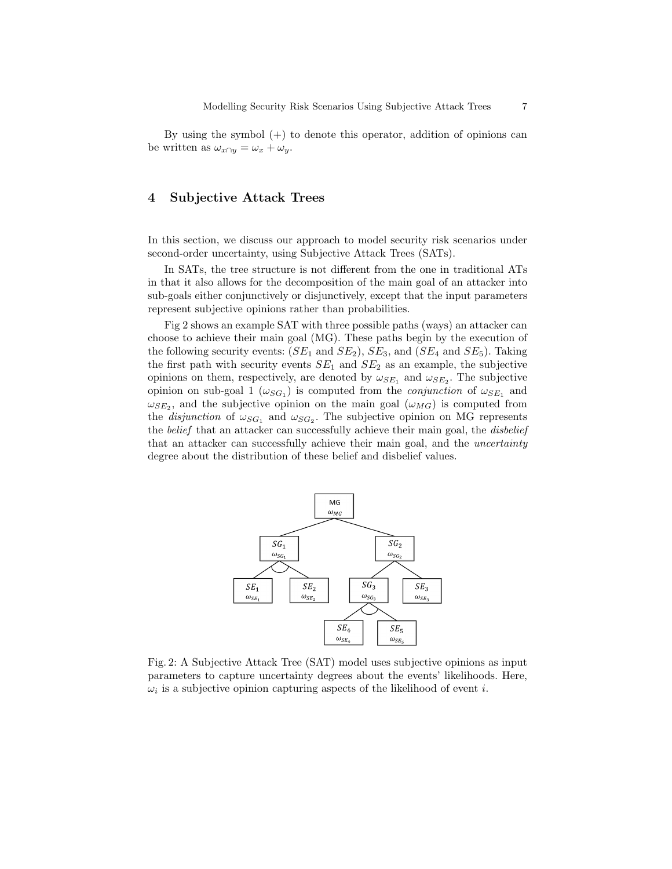By using the symbol  $(+)$  to denote this operator, addition of opinions can be written as  $\omega_{x\cap y} = \omega_x + \omega_y$ .

# 4 Subjective Attack Trees

In this section, we discuss our approach to model security risk scenarios under second-order uncertainty, using Subjective Attack Trees (SATs).

In SATs, the tree structure is not different from the one in traditional ATs in that it also allows for the decomposition of the main goal of an attacker into sub-goals either conjunctively or disjunctively, except that the input parameters represent subjective opinions rather than probabilities.

Fig 2 shows an example SAT with three possible paths (ways) an attacker can choose to achieve their main goal (MG). These paths begin by the execution of the following security events:  $(SE_1 \text{ and } SE_2)$ ,  $SE_3$ , and  $(SE_4 \text{ and } SE_5)$ . Taking the first path with security events  $SE_1$  and  $SE_2$  as an example, the subjective opinions on them, respectively, are denoted by  $\omega_{SE_1}$  and  $\omega_{SE_2}$ . The subjective opinion on sub-goal 1  $(\omega_{SG_1})$  is computed from the *conjunction* of  $\omega_{SE_1}$  and  $\omega_{SE_2}$ , and the subjective opinion on the main goal  $(\omega_{MG})$  is computed from the *disjunction* of  $\omega_{SG_1}$  and  $\omega_{SG_2}$ . The subjective opinion on MG represents the belief that an attacker can successfully achieve their main goal, the disbelief that an attacker can successfully achieve their main goal, and the uncertainty degree about the distribution of these belief and disbelief values.



Fig. 2: A Subjective Attack Tree (SAT) model uses subjective opinions as input parameters to capture uncertainty degrees about the events' likelihoods. Here,  $\omega_i$  is a subjective opinion capturing aspects of the likelihood of event *i*.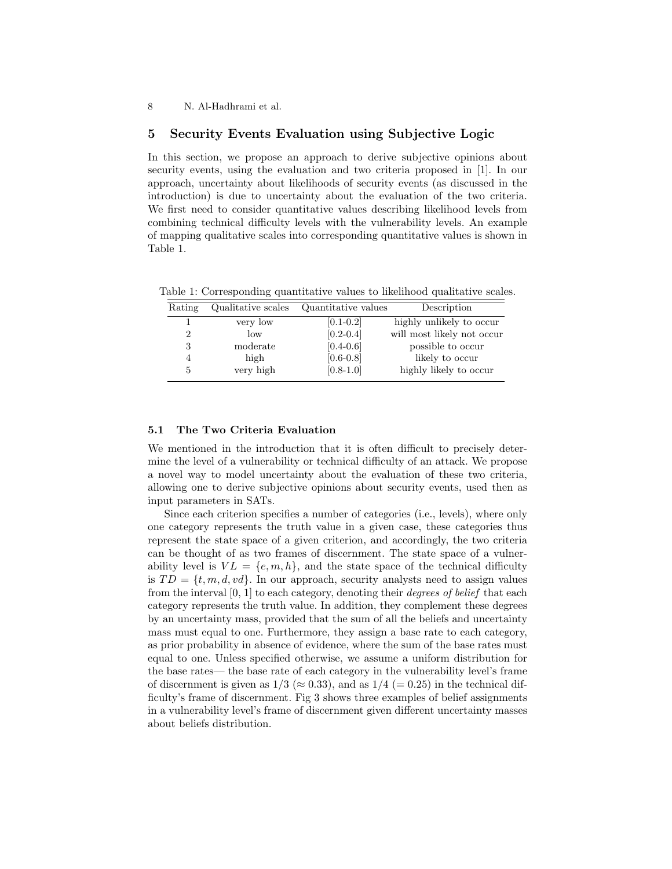# 5 Security Events Evaluation using Subjective Logic

In this section, we propose an approach to derive subjective opinions about security events, using the evaluation and two criteria proposed in [1]. In our approach, uncertainty about likelihoods of security events (as discussed in the introduction) is due to uncertainty about the evaluation of the two criteria. We first need to consider quantitative values describing likelihood levels from combining technical difficulty levels with the vulnerability levels. An example of mapping qualitative scales into corresponding quantitative values is shown in Table 1.

Table 1: Corresponding quantitative values to likelihood qualitative scales.

| Rating         | Qualitative scales | Quantitative values | Description                |
|----------------|--------------------|---------------------|----------------------------|
|                | very low           | $[0.1 - 0.2]$       | highly unlikely to occur   |
| $\overline{2}$ | $\log$             | $[0.2 - 0.4]$       | will most likely not occur |
| 3              | moderate           | $[0.4 - 0.6]$       | possible to occur          |
| 4              | high               | $[0.6 - 0.8]$       | likely to occur            |
| 5              | very high          | $[0.8 - 1.0]$       | highly likely to occur     |

## 5.1 The Two Criteria Evaluation

We mentioned in the introduction that it is often difficult to precisely determine the level of a vulnerability or technical difficulty of an attack. We propose a novel way to model uncertainty about the evaluation of these two criteria, allowing one to derive subjective opinions about security events, used then as input parameters in SATs.

Since each criterion specifies a number of categories (i.e., levels), where only one category represents the truth value in a given case, these categories thus represent the state space of a given criterion, and accordingly, the two criteria can be thought of as two frames of discernment. The state space of a vulnerability level is  $VL = \{e, m, h\}$ , and the state space of the technical difficulty is  $TD = \{t, m, d, vd\}$ . In our approach, security analysts need to assign values from the interval  $[0, 1]$  to each category, denoting their *degrees of belief* that each category represents the truth value. In addition, they complement these degrees by an uncertainty mass, provided that the sum of all the beliefs and uncertainty mass must equal to one. Furthermore, they assign a base rate to each category, as prior probability in absence of evidence, where the sum of the base rates must equal to one. Unless specified otherwise, we assume a uniform distribution for the base rates— the base rate of each category in the vulnerability level's frame of discernment is given as  $1/3 \approx 0.33$ , and as  $1/4 \approx 0.25$ ) in the technical difficulty's frame of discernment. Fig 3 shows three examples of belief assignments in a vulnerability level's frame of discernment given different uncertainty masses about beliefs distribution.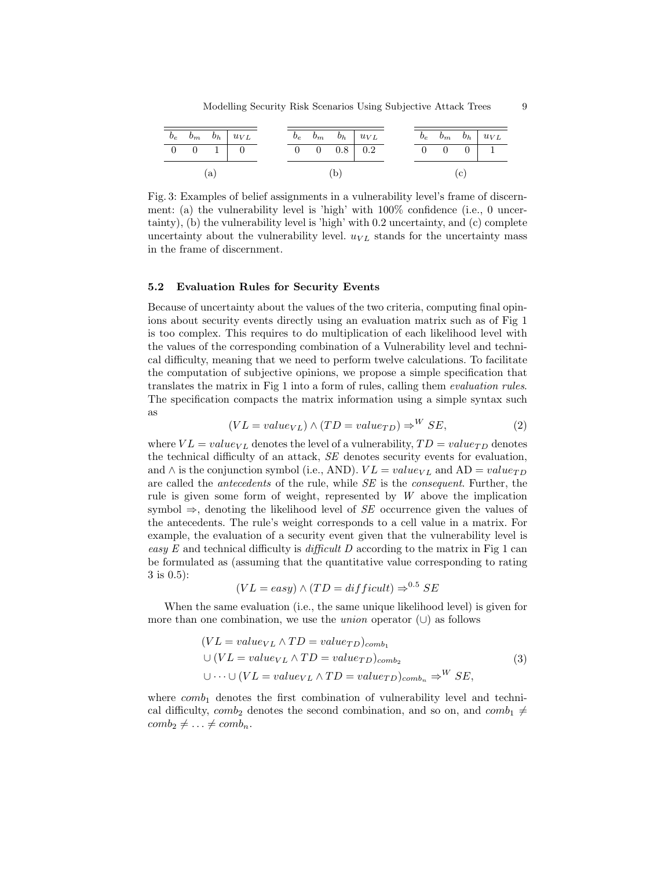| $b_e$ $b_m$ $b_h$ $u_{VL}$ |  |
|----------------------------|--|
|                            |  |
|                            |  |

Fig. 3: Examples of belief assignments in a vulnerability level's frame of discernment: (a) the vulnerability level is 'high' with 100% confidence (i.e., 0 uncertainty), (b) the vulnerability level is 'high' with 0.2 uncertainty, and (c) complete uncertainty about the vulnerability level.  $u_{VL}$  stands for the uncertainty mass in the frame of discernment.

## 5.2 Evaluation Rules for Security Events

Because of uncertainty about the values of the two criteria, computing final opinions about security events directly using an evaluation matrix such as of Fig 1 is too complex. This requires to do multiplication of each likelihood level with the values of the corresponding combination of a Vulnerability level and technical difficulty, meaning that we need to perform twelve calculations. To facilitate the computation of subjective opinions, we propose a simple specification that translates the matrix in Fig 1 into a form of rules, calling them evaluation rules. The specification compacts the matrix information using a simple syntax such as

$$
(VL = value_{VL}) \land (TD = value_{TD}) \Rightarrow^{W} SE,
$$
\n
$$
(2)
$$

where  $VL = value_{VL}$  denotes the level of a vulnerability,  $TD = value_{TD}$  denotes the technical difficulty of an attack, SE denotes security events for evaluation, and  $\wedge$  is the conjunction symbol (i.e., AND).  $VL = value_{VL}$  and  $AD = value_{TD}$ are called the antecedents of the rule, while SE is the consequent. Further, the rule is given some form of weight, represented by  $W$  above the implication symbol  $\Rightarrow$ , denoting the likelihood level of SE occurrence given the values of the antecedents. The rule's weight corresponds to a cell value in a matrix. For example, the evaluation of a security event given that the vulnerability level is easy  $E$  and technical difficulty is *difficult D* according to the matrix in Fig 1 can be formulated as (assuming that the quantitative value corresponding to rating 3 is 0.5):

$$
(VL = easy) \land (TD = difficult) \Rightarrow ^{0.5} SE
$$

When the same evaluation (i.e., the same unique likelihood level) is given for more than one combination, we use the *union* operator  $(\cup)$  as follows

$$
(VL = value_{VL} \land TD = value_{TD})_{comb_1}
$$
  

$$
\cup (VL = value_{VL} \land TD = value_{TD})_{comb_2}
$$
  

$$
\cup \cdots \cup (VL = value_{VL} \land TD = value_{TD})_{comb_n} \Rightarrow^W SE,
$$
  

$$
(3)
$$

where  $comb_1$  denotes the first combination of vulnerability level and technical difficulty,  $comb_2$  denotes the second combination, and so on, and  $comb_1 \neq$  $comb_2 \neq \ldots \neq comb_n$ .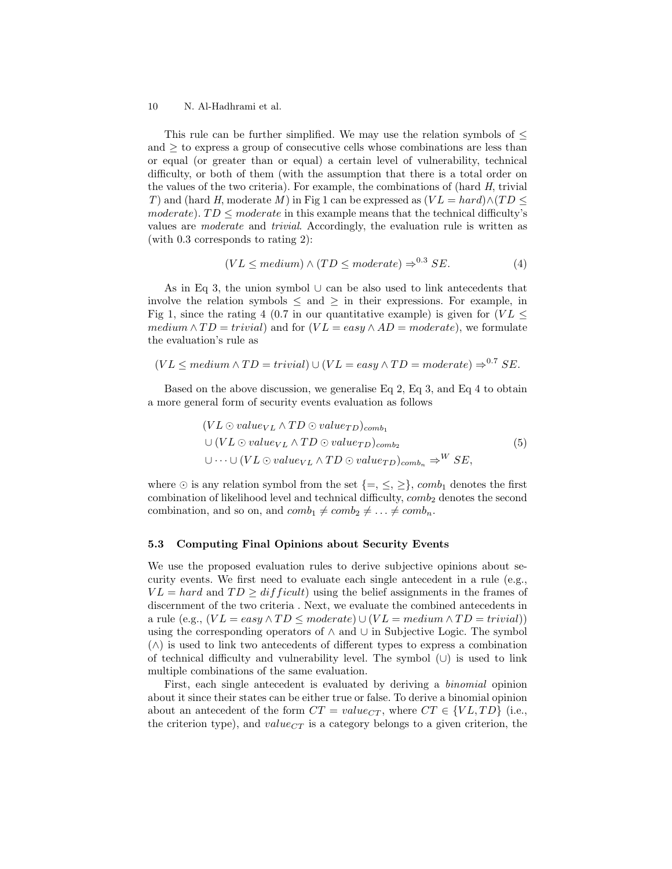This rule can be further simplified. We may use the relation symbols of  $\leq$ and  $\geq$  to express a group of consecutive cells whose combinations are less than or equal (or greater than or equal) a certain level of vulnerability, technical difficulty, or both of them (with the assumption that there is a total order on the values of the two criteria). For example, the combinations of (hard H, trivial T) and (hard H, moderate M) in Fig 1 can be expressed as  $(VL = hard) \wedge (TD \leq$ moderate).  $TD \leq moderate$  in this example means that the technical difficulty's values are moderate and trivial. Accordingly, the evaluation rule is written as (with 0.3 corresponds to rating 2):

$$
(VL \le medium) \land (TD \le moderate) \Rightarrow^{0.3} SE. \tag{4}
$$

As in Eq 3, the union symbol  $\cup$  can be also used to link antecedents that involve the relation symbols  $\leq$  and  $\geq$  in their expressions. For example, in Fig 1, since the rating 4 (0.7 in our quantitative example) is given for  $(VL \leq$ medium  $\wedge TD = trivial$  and for  $(VL = easy \wedge AD = moderate)$ , we formulate the evaluation's rule as

$$
(VL \le medium \land TD = trivial) \cup (VL = easy \land TD = moderate) \Rightarrow ^{0.7} SE.
$$

Based on the above discussion, we generalise Eq 2, Eq 3, and Eq 4 to obtain a more general form of security events evaluation as follows

$$
(VL \odot value_{VL} \land TD \odot value_{TD})_{comb_1}
$$
  

$$
\cup (VL \odot value_{VL} \land TD \odot value_{TD})_{comb_2}
$$
  

$$
\cup \cdots \cup (VL \odot value_{VL} \land TD \odot value_{TD})_{comb_n} \Rightarrow^W SE,
$$

$$
(5)
$$

where  $\odot$  is any relation symbol from the set  $\{=,\leq,\geq\}$ , comb<sub>1</sub> denotes the first combination of likelihood level and technical difficulty,  $comb_2$  denotes the second combination, and so on, and  $comb_1 \neq comb_2 \neq \ldots \neq comb_n$ .

#### 5.3 Computing Final Opinions about Security Events

We use the proposed evaluation rules to derive subjective opinions about security events. We first need to evaluate each single antecedent in a rule (e.g.,  $VL = hard$  and  $TD \ge difficult$ ) using the belief assignments in the frames of discernment of the two criteria . Next, we evaluate the combined antecedents in a rule (e.g.,  $(VL = easy \wedge TD \leq moderate) \cup (VL = medium \wedge TD = trivial))$ using the corresponding operators of  $\wedge$  and  $\cup$  in Subjective Logic. The symbol  $(\wedge)$  is used to link two antecedents of different types to express a combination of technical difficulty and vulnerability level. The symbol  $(\cup)$  is used to link multiple combinations of the same evaluation.

First, each single antecedent is evaluated by deriving a binomial opinion about it since their states can be either true or false. To derive a binomial opinion about an antecedent of the form  $CT = value_{CT}$ , where  $CT \in \{VL, TD\}$  (i.e., the criterion type), and  $value_{CT}$  is a category belongs to a given criterion, the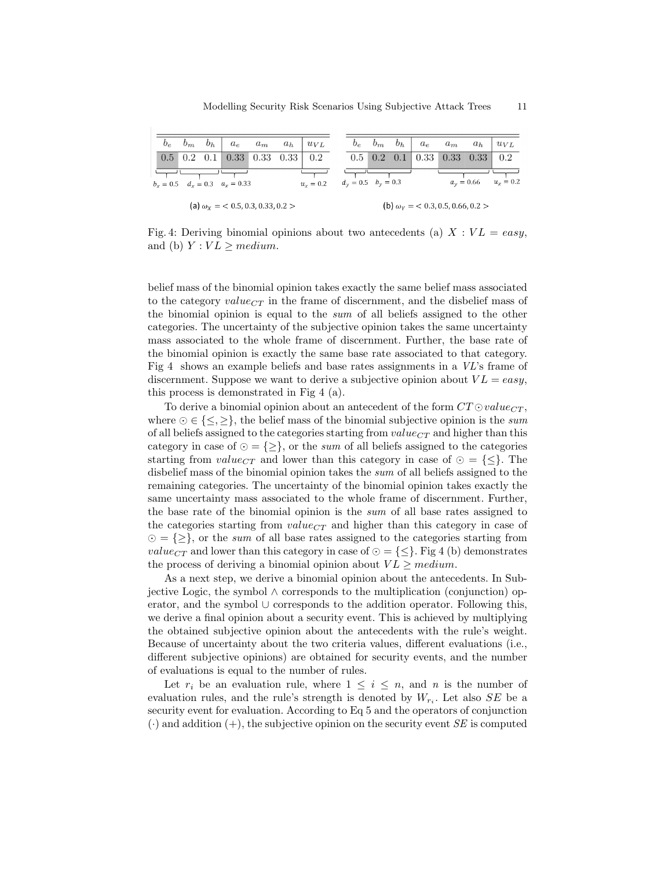| $b_e$                                               | $b_m$ | $b_h$ | $a_e$                            | $a_m$ | $a_h$ | $u_{VL}$                |  | $b_e$ $b_m$ | $b_h$                                    |              | $a_e \qquad a_m$ | $a_h$                                                      | $u_{VL}$ |
|-----------------------------------------------------|-------|-------|----------------------------------|-------|-------|-------------------------|--|-------------|------------------------------------------|--------------|------------------|------------------------------------------------------------|----------|
|                                                     |       |       | $0.5$ 0.2 0.1 0.33 0.33 0.33 0.3 |       |       |                         |  |             |                                          |              |                  | $0.5 \quad 0.2 \quad 0.1 \quad 0.33 \quad 0.33 \quad 0.33$ | 0.2      |
|                                                     |       |       |                                  |       |       |                         |  |             |                                          |              |                  |                                                            |          |
| $u_r = 0.2$<br>$b_x = 0.5$ $d_x = 0.3$ $a_x = 0.33$ |       |       |                                  |       |       | $d_v = 0.5$ $b_v = 0.3$ |  |             |                                          | $a_v = 0.66$ | $u_r = 0.2$      |                                                            |          |
| (a) $\omega_x =$ < 0.5, 0.3, 0.33, 0.2 >            |       |       |                                  |       |       |                         |  |             | (b) $\omega_Y =$ < 0.3, 0.5, 0.66, 0.2 > |              |                  |                                                            |          |
|                                                     |       |       |                                  |       |       |                         |  |             |                                          |              |                  |                                                            |          |

Fig. 4: Deriving binomial opinions about two antecedents (a)  $X : VL = easy$ , and (b)  $Y: VL \geq medium$ .

belief mass of the binomial opinion takes exactly the same belief mass associated to the category  $value_{CT}$  in the frame of discernment, and the disbelief mass of the binomial opinion is equal to the sum of all beliefs assigned to the other categories. The uncertainty of the subjective opinion takes the same uncertainty mass associated to the whole frame of discernment. Further, the base rate of the binomial opinion is exactly the same base rate associated to that category. Fig 4 shows an example beliefs and base rates assignments in a VL's frame of discernment. Suppose we want to derive a subjective opinion about  $VL = easy$ , this process is demonstrated in Fig 4 (a).

To derive a binomial opinion about an antecedent of the form  $CT\odot value_{CT}$ , where  $\odot \in \{\leq, \geq\}$ , the belief mass of the binomial subjective opinion is the sum of all beliefs assigned to the categories starting from  $value_{CT}$  and higher than this category in case of  $\odot = \{\geq\}$ , or the sum of all beliefs assigned to the categories starting from value<sub>CT</sub> and lower than this category in case of  $\odot = {\leq}$ . The disbelief mass of the binomial opinion takes the sum of all beliefs assigned to the remaining categories. The uncertainty of the binomial opinion takes exactly the same uncertainty mass associated to the whole frame of discernment. Further, the base rate of the binomial opinion is the sum of all base rates assigned to the categories starting from  $value_{CT}$  and higher than this category in case of  $\odot = {\geq}$ , or the sum of all base rates assigned to the categories starting from *value<sub>CT</sub>* and lower than this category in case of  $\odot = {\le}$ . Fig 4 (b) demonstrates the process of deriving a binomial opinion about  $VL \geq medium$ .

As a next step, we derive a binomial opinion about the antecedents. In Subjective Logic, the symbol ∧ corresponds to the multiplication (conjunction) operator, and the symbol ∪ corresponds to the addition operator. Following this, we derive a final opinion about a security event. This is achieved by multiplying the obtained subjective opinion about the antecedents with the rule's weight. Because of uncertainty about the two criteria values, different evaluations (i.e., different subjective opinions) are obtained for security events, and the number of evaluations is equal to the number of rules.

Let  $r_i$  be an evaluation rule, where  $1 \leq i \leq n$ , and n is the number of evaluation rules, and the rule's strength is denoted by  $W_{r_i}$ . Let also  $SE$  be a security event for evaluation. According to Eq 5 and the operators of conjunction  $\langle \cdot \rangle$  and addition  $(+)$ , the subjective opinion on the security event SE is computed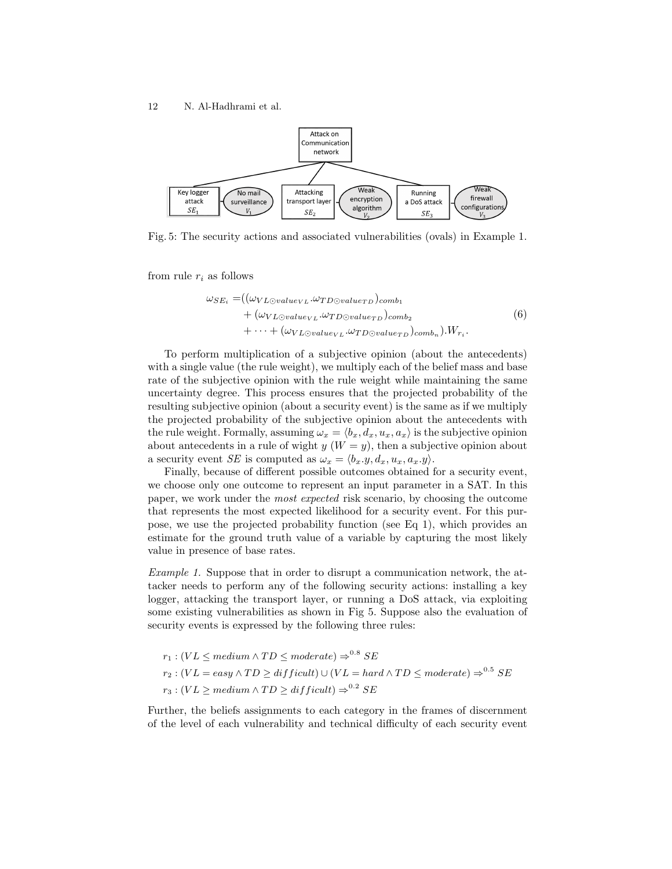

Fig. 5: The security actions and associated vulnerabilities (ovals) in Example 1.

from rule  $r_i$  as follows

$$
\omega_{SE_i} = ((\omega_{VL \odot value_{VL}} \cdot \omega_{TD \odot value_{TD}})_{comb_1} + (\omega_{VL \odot value_{VL}} \cdot \omega_{TD \odot value_{TD}})_{comb_2} + \cdots + (\omega_{VL \odot value_{VL}} \cdot \omega_{TD \odot value_{TD}})_{comb_n}).W_{r_i}.
$$
\n(6)

To perform multiplication of a subjective opinion (about the antecedents) with a single value (the rule weight), we multiply each of the belief mass and base rate of the subjective opinion with the rule weight while maintaining the same uncertainty degree. This process ensures that the projected probability of the resulting subjective opinion (about a security event) is the same as if we multiply the projected probability of the subjective opinion about the antecedents with the rule weight. Formally, assuming  $\omega_x = \langle b_x, d_x, u_x, a_x \rangle$  is the subjective opinion about antecedents in a rule of wight  $y (W = y)$ , then a subjective opinion about a security event SE is computed as  $\omega_x = \langle b_x \cdot y, d_x, u_x, a_x \cdot y \rangle$ .

Finally, because of different possible outcomes obtained for a security event, we choose only one outcome to represent an input parameter in a SAT. In this paper, we work under the most expected risk scenario, by choosing the outcome that represents the most expected likelihood for a security event. For this purpose, we use the projected probability function (see Eq 1), which provides an estimate for the ground truth value of a variable by capturing the most likely value in presence of base rates.

Example 1. Suppose that in order to disrupt a communication network, the attacker needs to perform any of the following security actions: installing a key logger, attacking the transport layer, or running a DoS attack, via exploiting some existing vulnerabilities as shown in Fig 5. Suppose also the evaluation of security events is expressed by the following three rules:

$$
r_1: (VL \le medium \land TD \le moderate) \Rightarrow ^{0.8} SE
$$
  

$$
r_2: (VL = easy \land TD \ge difficult) \cup (VL = hard \land TD \le moderate) \Rightarrow ^{0.5} SE
$$
  

$$
r_3: (VL \ge medium \land TD \ge difficult) \Rightarrow ^{0.2} SE
$$

Further, the beliefs assignments to each category in the frames of discernment of the level of each vulnerability and technical difficulty of each security event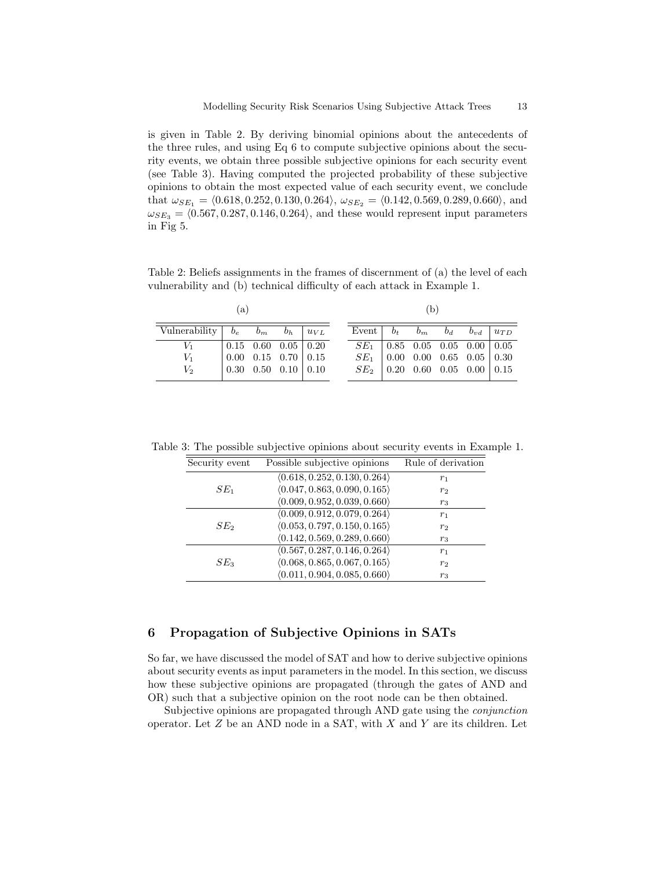is given in Table 2. By deriving binomial opinions about the antecedents of the three rules, and using Eq 6 to compute subjective opinions about the security events, we obtain three possible subjective opinions for each security event (see Table 3). Having computed the projected probability of these subjective opinions to obtain the most expected value of each security event, we conclude that  $\omega_{SE_1} = \langle 0.618, 0.252, 0.130, 0.264 \rangle$ ,  $\omega_{SE_2} = \langle 0.142, 0.569, 0.289, 0.660 \rangle$ , and  $\omega_{SE_3} = \langle 0.567, 0.287, 0.146, 0.264 \rangle$ , and these would represent input parameters in Fig 5.

Table 2: Beliefs assignments in the frames of discernment of (a) the level of each vulnerability and (b) technical difficulty of each attack in Example 1.

| $\lbrack a \rbrack$                      |  |  |                                                                                        |  | (b)                                 |  |       |  |                                 |  |
|------------------------------------------|--|--|----------------------------------------------------------------------------------------|--|-------------------------------------|--|-------|--|---------------------------------|--|
| Vulnerability $b_e$ $b_m$ $b_h$ $u_{VL}$ |  |  |                                                                                        |  | Event $b_t$                         |  | $b_m$ |  | $b_d \quad b_{vd} \quad u_{TD}$ |  |
| V1                                       |  |  | $\begin{array}{ c c c c c c c c } \hline 0.15 & 0.60 & 0.05 & 0.20 \hline \end{array}$ |  | $SE_1$   0.85 0.05 0.05 0.00   0.05 |  |       |  |                                 |  |
| $V_1$                                    |  |  | $0.00 \quad 0.15 \quad 0.70 \mid 0.15$                                                 |  | $SE_1$   0.00 0.00 0.65 0.05   0.30 |  |       |  |                                 |  |
| $V_2$                                    |  |  | $0.30 \quad 0.50 \quad 0.10 \mid 0.10$                                                 |  | $SE_2$   0.20 0.60 0.05 0.00   0.15 |  |       |  |                                 |  |
|                                          |  |  |                                                                                        |  |                                     |  |       |  |                                 |  |

Table 3: The possible subjective opinions about security events in Example 1.

| Security event  | Possible subjective opinions | Rule of derivation |
|-----------------|------------------------------|--------------------|
|                 | (0.618, 0.252, 0.130, 0.264) | $r_1$              |
| $SE_1$          | (0.047, 0.863, 0.090, 0.165) | $r_2$              |
|                 | (0.009, 0.952, 0.039, 0.660) | $r_3$              |
|                 | (0.009, 0.912, 0.079, 0.264) | $r_1$              |
| SE <sub>2</sub> | (0.053, 0.797, 0.150, 0.165) | $r_2$              |
|                 | (0.142, 0.569, 0.289, 0.660) | $r_3$              |
|                 | (0.567, 0.287, 0.146, 0.264) | $r_1$              |
| SE <sub>3</sub> | (0.068, 0.865, 0.067, 0.165) | r <sub>2</sub>     |
|                 | (0.011, 0.904, 0.085, 0.660) | $r_3$              |

# 6 Propagation of Subjective Opinions in SATs

So far, we have discussed the model of SAT and how to derive subjective opinions about security events as input parameters in the model. In this section, we discuss how these subjective opinions are propagated (through the gates of AND and OR) such that a subjective opinion on the root node can be then obtained.

Subjective opinions are propagated through AND gate using the conjunction operator. Let  $Z$  be an AND node in a SAT, with  $X$  and  $Y$  are its children. Let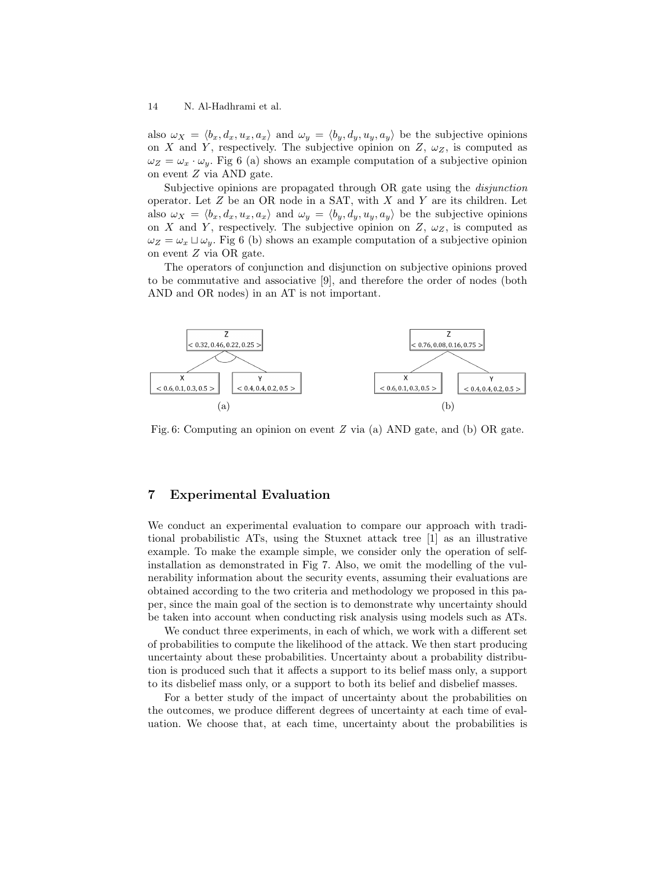also  $\omega_X = \langle b_x, d_x, u_x, a_x \rangle$  and  $\omega_y = \langle b_y, d_y, u_y, a_y \rangle$  be the subjective opinions on X and Y, respectively. The subjective opinion on Z,  $\omega_Z$ , is computed as  $\omega_Z = \omega_x \cdot \omega_y$ . Fig 6 (a) shows an example computation of a subjective opinion on event Z via AND gate.

Subjective opinions are propagated through OR gate using the disjunction operator. Let  $Z$  be an OR node in a SAT, with  $X$  and  $Y$  are its children. Let also  $\omega_X = \langle b_x, d_x, u_x, a_x \rangle$  and  $\omega_y = \langle b_y, d_y, u_y, a_y \rangle$  be the subjective opinions on X and Y, respectively. The subjective opinion on  $Z, \omega_Z$ , is computed as  $\omega_Z = \omega_x \sqcup \omega_y$ . Fig 6 (b) shows an example computation of a subjective opinion on event Z via OR gate.

The operators of conjunction and disjunction on subjective opinions proved to be commutative and associative [9], and therefore the order of nodes (both AND and OR nodes) in an AT is not important.



Fig. 6: Computing an opinion on event Z via (a) AND gate, and (b) OR gate.

# 7 Experimental Evaluation

We conduct an experimental evaluation to compare our approach with traditional probabilistic ATs, using the Stuxnet attack tree [1] as an illustrative example. To make the example simple, we consider only the operation of selfinstallation as demonstrated in Fig 7. Also, we omit the modelling of the vulnerability information about the security events, assuming their evaluations are obtained according to the two criteria and methodology we proposed in this paper, since the main goal of the section is to demonstrate why uncertainty should be taken into account when conducting risk analysis using models such as ATs.

We conduct three experiments, in each of which, we work with a different set of probabilities to compute the likelihood of the attack. We then start producing uncertainty about these probabilities. Uncertainty about a probability distribution is produced such that it affects a support to its belief mass only, a support to its disbelief mass only, or a support to both its belief and disbelief masses.

For a better study of the impact of uncertainty about the probabilities on the outcomes, we produce different degrees of uncertainty at each time of evaluation. We choose that, at each time, uncertainty about the probabilities is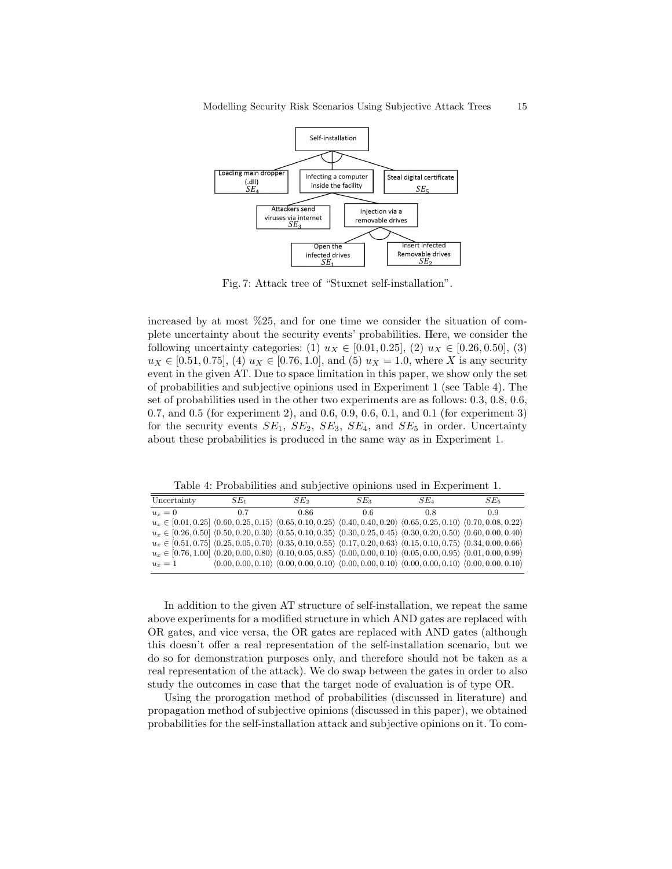

Fig. 7: Attack tree of "Stuxnet self-installation".

increased by at most %25, and for one time we consider the situation of complete uncertainty about the security events' probabilities. Here, we consider the following uncertainty categories: (1)  $u_X \in [0.01, 0.25]$ , (2)  $u_X \in [0.26, 0.50]$ , (3)  $u_X \in [0.51, 0.75],$  (4)  $u_X \in [0.76, 1.0],$  and (5)  $u_X = 1.0$ , where X is any security event in the given AT. Due to space limitation in this paper, we show only the set of probabilities and subjective opinions used in Experiment 1 (see Table 4). The set of probabilities used in the other two experiments are as follows: 0.3, 0.8, 0.6, 0.7, and 0.5 (for experiment 2), and 0.6, 0.9, 0.6, 0.1, and 0.1 (for experiment 3) for the security events  $SE_1$ ,  $SE_2$ ,  $SE_3$ ,  $SE_4$ , and  $SE_5$  in order. Uncertainty about these probabilities is produced in the same way as in Experiment 1.

Table 4: Probabilities and subjective opinions used in Experiment 1.

| Uncertainty | SE <sub>1</sub> | SE <sub>2</sub>                                                                                                                                                                                       | SE <sub>2</sub> | $SE_4$ | $SE_{5}$ |
|-------------|-----------------|-------------------------------------------------------------------------------------------------------------------------------------------------------------------------------------------------------|-----------------|--------|----------|
| $u_r=0$     | 0.7             | 0.86                                                                                                                                                                                                  | 0.6             | 0.8    | 0.9      |
|             |                 | $u_x \in [0.01, 0.25]$ $\langle 0.60, 0.25, 0.15 \rangle$ $\langle 0.65, 0.10, 0.25 \rangle$ $\langle 0.40, 0.40, 0.20 \rangle$ $\langle 0.65, 0.25, 0.10 \rangle$ $\langle 0.70, 0.08, 0.22 \rangle$ |                 |        |          |
|             |                 | $u_x \in [0.26, 0.50]$ $(0.50, 0.20, 0.30)$ $(0.55, 0.10, 0.35)$ $(0.30, 0.25, 0.45)$ $(0.30, 0.20, 0.50)$ $(0.60, 0.00, 0.40)$                                                                       |                 |        |          |
|             |                 | $u_x \in [0.51, 0.75]$ $\langle 0.25, 0.05, 0.70 \rangle$ $\langle 0.35, 0.10, 0.55 \rangle$ $\langle 0.17, 0.20, 0.63 \rangle$ $\langle 0.15, 0.10, 0.75 \rangle$ $\langle 0.34, 0.00, 0.66 \rangle$ |                 |        |          |
|             |                 | $u_x \in [0.76, 1.00] \ (0.20, 0.00, 0.80) \ (0.10, 0.05, 0.85) \ (0.00, 0.00, 0.10) \ (0.05, 0.00, 0.95) \ (0.01, 0.00, 0.99)$                                                                       |                 |        |          |
| $u_x=1$     |                 | $(0.00, 0.00, 0.10)$ $(0.00, 0.00, 0.10)$ $(0.00, 0.00, 0.10)$ $(0.00, 0.00, 0.10)$ $(0.00, 0.00, 0.10)$                                                                                              |                 |        |          |

In addition to the given AT structure of self-installation, we repeat the same above experiments for a modified structure in which AND gates are replaced with OR gates, and vice versa, the OR gates are replaced with AND gates (although this doesn't offer a real representation of the self-installation scenario, but we do so for demonstration purposes only, and therefore should not be taken as a real representation of the attack). We do swap between the gates in order to also study the outcomes in case that the target node of evaluation is of type OR.

Using the prorogation method of probabilities (discussed in literature) and propagation method of subjective opinions (discussed in this paper), we obtained probabilities for the self-installation attack and subjective opinions on it. To com-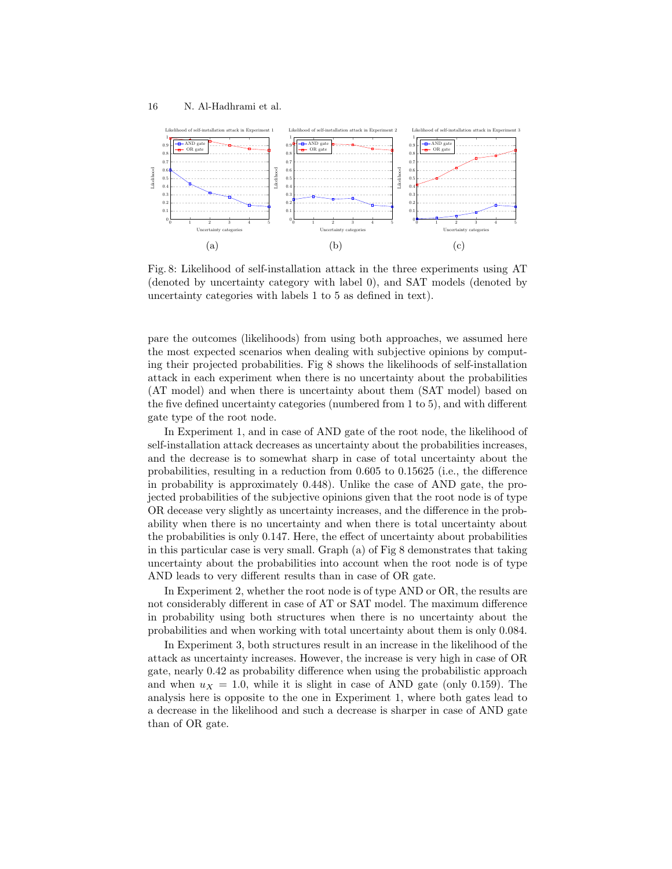

Fig. 8: Likelihood of self-installation attack in the three experiments using AT (denoted by uncertainty category with label 0), and SAT models (denoted by uncertainty categories with labels 1 to 5 as defined in text).

pare the outcomes (likelihoods) from using both approaches, we assumed here the most expected scenarios when dealing with subjective opinions by computing their projected probabilities. Fig 8 shows the likelihoods of self-installation attack in each experiment when there is no uncertainty about the probabilities (AT model) and when there is uncertainty about them (SAT model) based on the five defined uncertainty categories (numbered from 1 to 5), and with different gate type of the root node.

In Experiment 1, and in case of AND gate of the root node, the likelihood of self-installation attack decreases as uncertainty about the probabilities increases, and the decrease is to somewhat sharp in case of total uncertainty about the probabilities, resulting in a reduction from 0.605 to 0.15625 (i.e., the difference in probability is approximately 0.448). Unlike the case of AND gate, the projected probabilities of the subjective opinions given that the root node is of type OR decease very slightly as uncertainty increases, and the difference in the probability when there is no uncertainty and when there is total uncertainty about the probabilities is only 0.147. Here, the effect of uncertainty about probabilities in this particular case is very small. Graph (a) of Fig 8 demonstrates that taking uncertainty about the probabilities into account when the root node is of type AND leads to very different results than in case of OR gate.

In Experiment 2, whether the root node is of type AND or OR, the results are not considerably different in case of AT or SAT model. The maximum difference in probability using both structures when there is no uncertainty about the probabilities and when working with total uncertainty about them is only 0.084.

In Experiment 3, both structures result in an increase in the likelihood of the attack as uncertainty increases. However, the increase is very high in case of OR gate, nearly 0.42 as probability difference when using the probabilistic approach and when  $u_X = 1.0$ , while it is slight in case of AND gate (only 0.159). The analysis here is opposite to the one in Experiment 1, where both gates lead to a decrease in the likelihood and such a decrease is sharper in case of AND gate than of OR gate.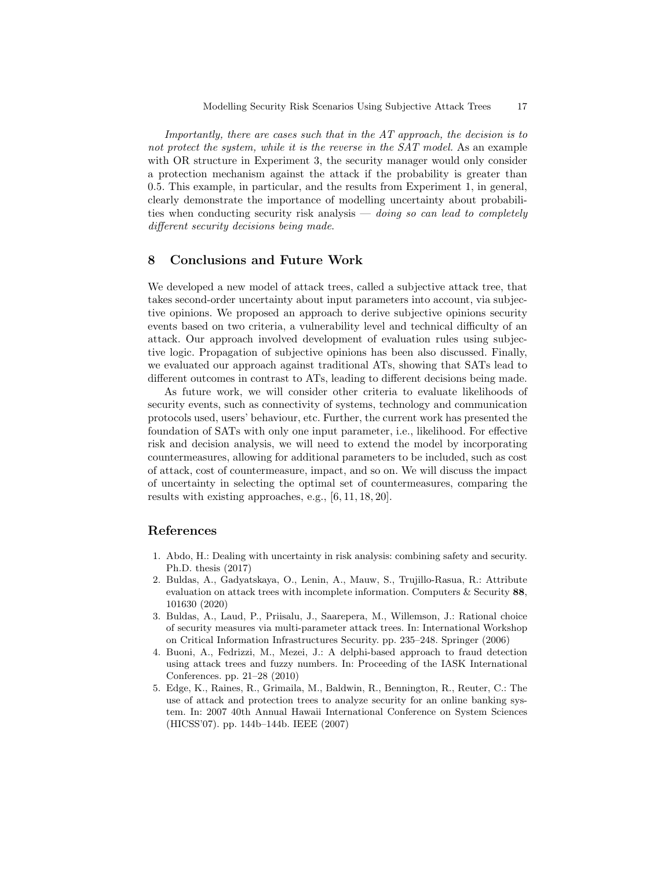Importantly, there are cases such that in the AT approach, the decision is to not protect the system, while it is the reverse in the SAT model. As an example with OR structure in Experiment 3, the security manager would only consider a protection mechanism against the attack if the probability is greater than 0.5. This example, in particular, and the results from Experiment 1, in general, clearly demonstrate the importance of modelling uncertainty about probabilities when conducting security risk analysis — *doing so can lead to completely* different security decisions being made.

# 8 Conclusions and Future Work

We developed a new model of attack trees, called a subjective attack tree, that takes second-order uncertainty about input parameters into account, via subjective opinions. We proposed an approach to derive subjective opinions security events based on two criteria, a vulnerability level and technical difficulty of an attack. Our approach involved development of evaluation rules using subjective logic. Propagation of subjective opinions has been also discussed. Finally, we evaluated our approach against traditional ATs, showing that SATs lead to different outcomes in contrast to ATs, leading to different decisions being made.

As future work, we will consider other criteria to evaluate likelihoods of security events, such as connectivity of systems, technology and communication protocols used, users' behaviour, etc. Further, the current work has presented the foundation of SATs with only one input parameter, i.e., likelihood. For effective risk and decision analysis, we will need to extend the model by incorporating countermeasures, allowing for additional parameters to be included, such as cost of attack, cost of countermeasure, impact, and so on. We will discuss the impact of uncertainty in selecting the optimal set of countermeasures, comparing the results with existing approaches, e.g., [6, 11, 18, 20].

## References

- 1. Abdo, H.: Dealing with uncertainty in risk analysis: combining safety and security. Ph.D. thesis (2017)
- 2. Buldas, A., Gadyatskaya, O., Lenin, A., Mauw, S., Trujillo-Rasua, R.: Attribute evaluation on attack trees with incomplete information. Computers & Security 88, 101630 (2020)
- 3. Buldas, A., Laud, P., Priisalu, J., Saarepera, M., Willemson, J.: Rational choice of security measures via multi-parameter attack trees. In: International Workshop on Critical Information Infrastructures Security. pp. 235–248. Springer (2006)
- 4. Buoni, A., Fedrizzi, M., Mezei, J.: A delphi-based approach to fraud detection using attack trees and fuzzy numbers. In: Proceeding of the IASK International Conferences. pp. 21–28 (2010)
- 5. Edge, K., Raines, R., Grimaila, M., Baldwin, R., Bennington, R., Reuter, C.: The use of attack and protection trees to analyze security for an online banking system. In: 2007 40th Annual Hawaii International Conference on System Sciences (HICSS'07). pp. 144b–144b. IEEE (2007)